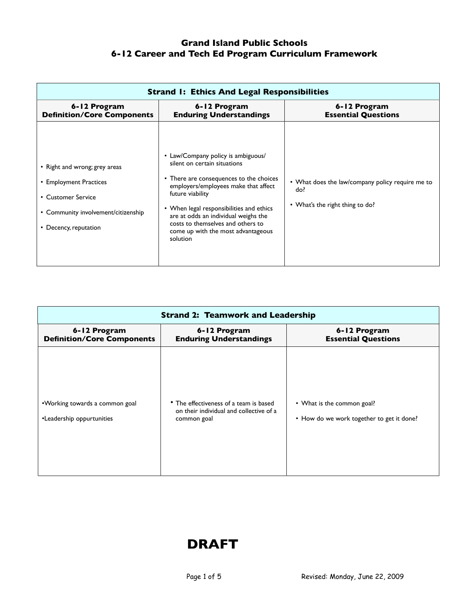#### **Grand Island Public Schools 6-12 Career and Tech Ed Program Curriculum Framework**

| <b>Strand I: Ethics And Legal Responsibilities</b>                                                                                            |                                                                                                                                                                                                                                                                                                                                                      |                                                                                            |
|-----------------------------------------------------------------------------------------------------------------------------------------------|------------------------------------------------------------------------------------------------------------------------------------------------------------------------------------------------------------------------------------------------------------------------------------------------------------------------------------------------------|--------------------------------------------------------------------------------------------|
| 6-12 Program<br><b>Definition/Core Components</b>                                                                                             | 6-12 Program<br><b>Enduring Understandings</b>                                                                                                                                                                                                                                                                                                       | 6-12 Program<br><b>Essential Questions</b>                                                 |
| • Right and wrong; grey areas<br>• Employment Practices<br>• Customer Service<br>• Community involvement/citizenship<br>• Decency, reputation | • Law/Company policy is ambiguous/<br>silent on certain situations<br>• There are consequences to the choices<br>employers/employees make that affect<br>future viability<br>• When legal responsibilities and ethics<br>are at odds an individual weighs the<br>costs to themselves and others to<br>come up with the most advantageous<br>solution | • What does the law/company policy require me to<br>do?<br>• What's the right thing to do? |

| <b>Strand 2: Teamwork and Leadership</b>                    |                                                                                                  |                                                                         |
|-------------------------------------------------------------|--------------------------------------------------------------------------------------------------|-------------------------------------------------------------------------|
| 6-12 Program<br><b>Definition/Core Components</b>           | 6-12 Program<br><b>Enduring Understandings</b>                                                   | 6-12 Program<br><b>Essential Questions</b>                              |
| •Working towards a common goal<br>•Leadership oppurtunities | • The effectiveness of a team is based<br>on their individual and collective of a<br>common goal | • What is the common goal?<br>• How do we work together to get it done? |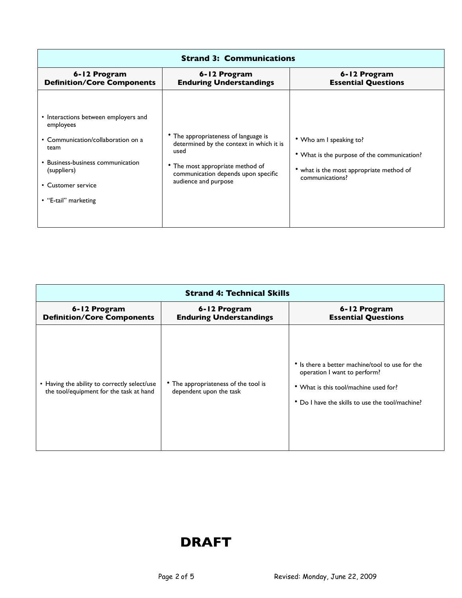| <b>Strand 3: Communications</b>                                                                                                                                                                   |                                                                                                                                                                                           |                                                                                                                                     |
|---------------------------------------------------------------------------------------------------------------------------------------------------------------------------------------------------|-------------------------------------------------------------------------------------------------------------------------------------------------------------------------------------------|-------------------------------------------------------------------------------------------------------------------------------------|
| 6-12 Program<br><b>Definition/Core Components</b>                                                                                                                                                 | 6-12 Program<br><b>Enduring Understandings</b>                                                                                                                                            | 6-12 Program<br><b>Essential Questions</b>                                                                                          |
| • Interactions between employers and<br>employees<br>• Communication/collaboration on a<br>team<br>• Business-business communication<br>(suppliers)<br>• Customer service<br>• "E-tail" marketing | The appropriateness of language is<br>determined by the context in which it is<br>used<br>• The most appropriate method of<br>communication depends upon specific<br>audience and purpose | • Who am I speaking to?<br>• What is the purpose of the communication?<br>what is the most appropriate method of<br>communications? |

| <b>Strand 4: Technical Skills</b>                                                       |                                                                 |                                                                                                                                                                             |
|-----------------------------------------------------------------------------------------|-----------------------------------------------------------------|-----------------------------------------------------------------------------------------------------------------------------------------------------------------------------|
| 6-12 Program<br><b>Definition/Core Components</b>                                       | 6-12 Program<br><b>Enduring Understandings</b>                  | 6-12 Program<br><b>Essential Questions</b>                                                                                                                                  |
| • Having the ability to correctly select/use<br>the tool/equipment for the task at hand | • The appropriateness of the tool is<br>dependent upon the task | • Is there a better machine/tool to use for the<br>operation I want to perform?<br>• What is this tool/machine used for?<br>• Do I have the skills to use the tool/machine? |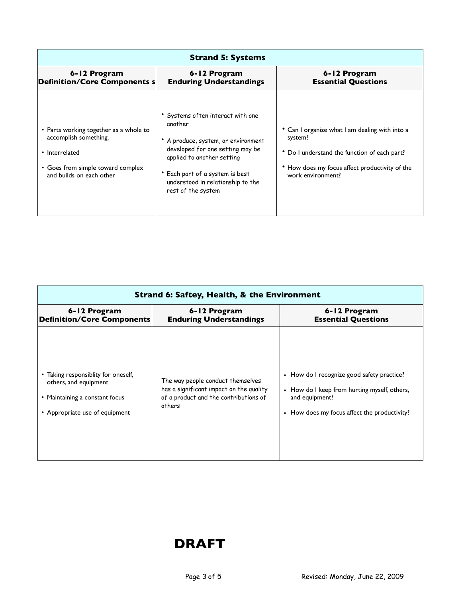| <b>Strand 5: Systems</b>                                                                                                                           |                                                                                                                                                                                                                                                   |                                                                                                                                                                                  |
|----------------------------------------------------------------------------------------------------------------------------------------------------|---------------------------------------------------------------------------------------------------------------------------------------------------------------------------------------------------------------------------------------------------|----------------------------------------------------------------------------------------------------------------------------------------------------------------------------------|
| 6-12 Program<br><b>Definition/Core Components s</b>                                                                                                | 6-12 Program<br><b>Enduring Understandings</b>                                                                                                                                                                                                    | 6-12 Program<br><b>Essential Questions</b>                                                                                                                                       |
| • Parts working together as a whole to<br>accomplish something.<br>• Interrelated<br>• Goes from simple toward complex<br>and builds on each other | • Systems often interact with one<br>another<br>A produce, system, or environment<br>developed for one setting may be<br>applied to another setting<br>• Each part of a system is best<br>understood in relationship to the<br>rest of the system | • Can I organize what I am dealing with into a<br>system?<br>* Do I understand the function of each part?<br>• How does my focus affect productivity of the<br>work environment? |

| <b>Strand 6: Saftey, Health, &amp; the Environment</b> |                                         |                                              |
|--------------------------------------------------------|-----------------------------------------|----------------------------------------------|
| 6-12 Program                                           | 6-12 Program                            | 6-12 Program                                 |
| <b>Definition/Core Components</b>                      | <b>Enduring Understandings</b>          | <b>Essential Questions</b>                   |
| • Taking responsiblity for oneself,                    | The way people conduct themselves       | • How do I recognize good safety practice?   |
| others, and equipment                                  | has a significant impact on the quality | • How do I keep from hurting myself, others, |
| • Maintaining a constant focus                         | of a product and the contributions of   | and equipment?                               |
| • Appropriate use of equipment                         | others                                  | • How does my focus affect the productivity? |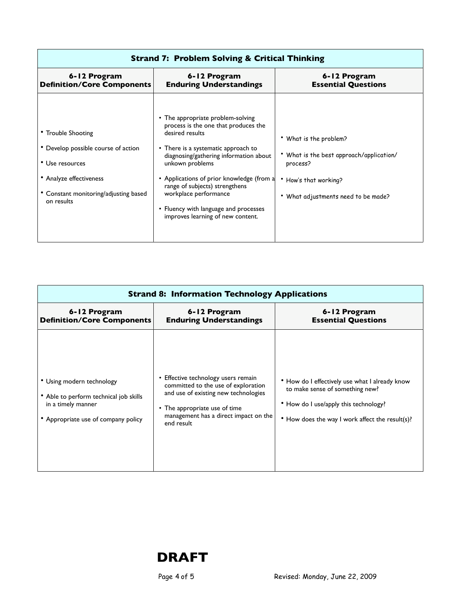| <b>Strand 7: Problem Solving &amp; Critical Thinking</b>                                                                                                       |                                                                                                                                                                                                                                                                                                                                                                                        |                                                                                                                                          |
|----------------------------------------------------------------------------------------------------------------------------------------------------------------|----------------------------------------------------------------------------------------------------------------------------------------------------------------------------------------------------------------------------------------------------------------------------------------------------------------------------------------------------------------------------------------|------------------------------------------------------------------------------------------------------------------------------------------|
| 6-12 Program<br><b>Definition/Core Components</b>                                                                                                              | 6-12 Program<br><b>Enduring Understandings</b>                                                                                                                                                                                                                                                                                                                                         | 6-12 Program<br><b>Essential Questions</b>                                                                                               |
| • Trouble Shooting<br>• Develop possible course of action<br>• Use resources<br>• Analyze effectiveness<br>• Constant monitoring/adjusting based<br>on results | • The appropriate problem-solving<br>process is the one that produces the<br>desired results<br>• There is a systematic approach to<br>diagnosing/gathering information about<br>unkown problems<br>• Applications of prior knowledge (from a<br>range of subjects) strengthens<br>workplace performance<br>• Fluency with language and processes<br>improves learning of new content. | What is the problem?<br>What is the best approach/application/<br>process?<br>• How's that working?<br>What adjustments need to be made? |

| <b>Strand 8: Information Technology Applications</b>                                                                             |                                                                                                                                                                                                          |                                                                                                                                                                               |
|----------------------------------------------------------------------------------------------------------------------------------|----------------------------------------------------------------------------------------------------------------------------------------------------------------------------------------------------------|-------------------------------------------------------------------------------------------------------------------------------------------------------------------------------|
| 6-12 Program<br><b>Definition/Core Components</b>                                                                                | 6-12 Program<br><b>Enduring Understandings</b>                                                                                                                                                           | 6-12 Program<br><b>Essential Questions</b>                                                                                                                                    |
| • Using modern technology<br>• Able to perform technical job skills<br>in a timely manner<br>• Appropriate use of company policy | Effective technology users remain<br>committed to the use of exploration<br>and use of existing new technologies<br>• The appropriate use of time<br>management has a direct impact on the<br>end result | • How do I effectively use what I already know<br>to make sense of something new?<br>• How do I use/apply this technology?<br>• How does the way I work affect the result(s)? |